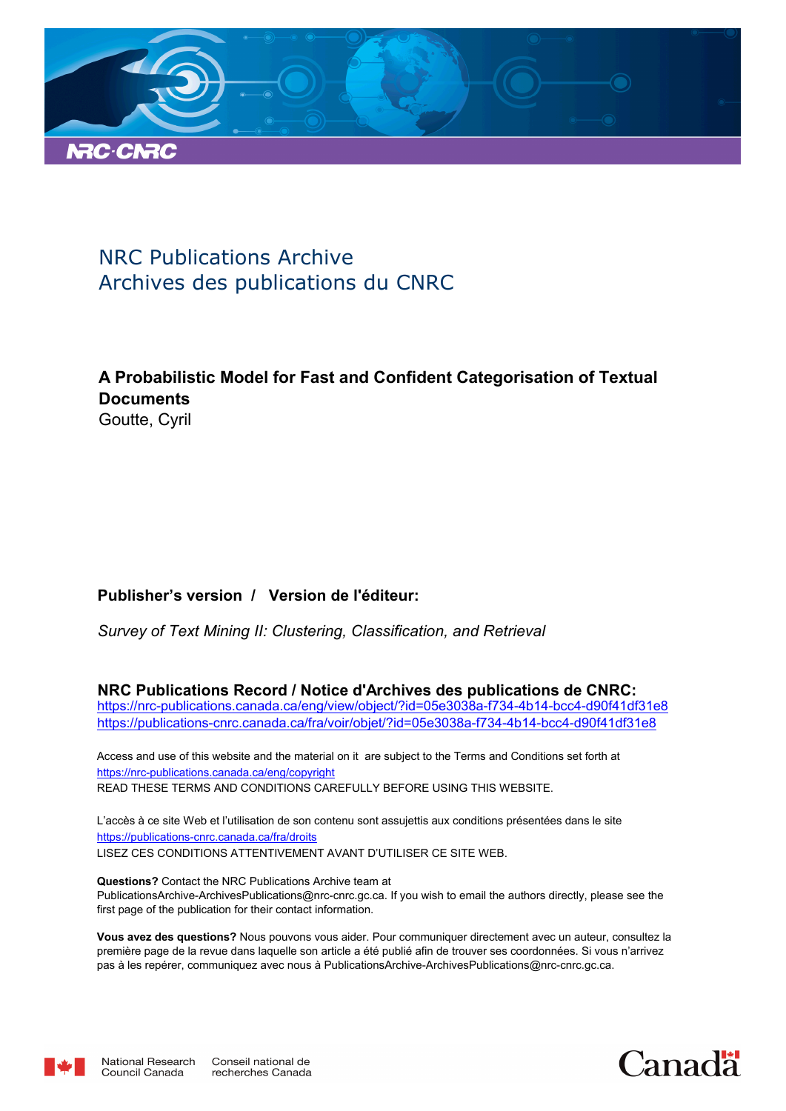

# NRC Publications Archive Archives des publications du CNRC

## **A Probabilistic Model for Fast and Confident Categorisation of Textual Documents** Goutte, Cyril

## **Publisher's version / Version de l'éditeur:**

*Survey of Text Mining II: Clustering, Classification, and Retrieval*

**NRC Publications Record / Notice d'Archives des publications de CNRC:** https://nrc-publications.canada.ca/eng/view/object/?id=05e3038a-f734-4b14-bcc4-d90f41df31e8 https://publications-cnrc.canada.ca/fra/voir/objet/?id=05e3038a-f734-4b14-bcc4-d90f41df31e8

READ THESE TERMS AND CONDITIONS CAREFULLY BEFORE USING THIS WEBSITE. https://nrc-publications.canada.ca/eng/copyright Access and use of this website and the material on it are subject to the Terms and Conditions set forth at

https://publications-cnrc.canada.ca/fra/droits L'accès à ce site Web et l'utilisation de son contenu sont assujettis aux conditions présentées dans le site LISEZ CES CONDITIONS ATTENTIVEMENT AVANT D'UTILISER CE SITE WEB.

**Questions?** Contact the NRC Publications Archive team at PublicationsArchive-ArchivesPublications@nrc-cnrc.gc.ca. If you wish to email the authors directly, please see the first page of the publication for their contact information.

**Vous avez des questions?** Nous pouvons vous aider. Pour communiquer directement avec un auteur, consultez la première page de la revue dans laquelle son article a été publié afin de trouver ses coordonnées. Si vous n'arrivez pas à les repérer, communiquez avec nous à PublicationsArchive-ArchivesPublications@nrc-cnrc.gc.ca.



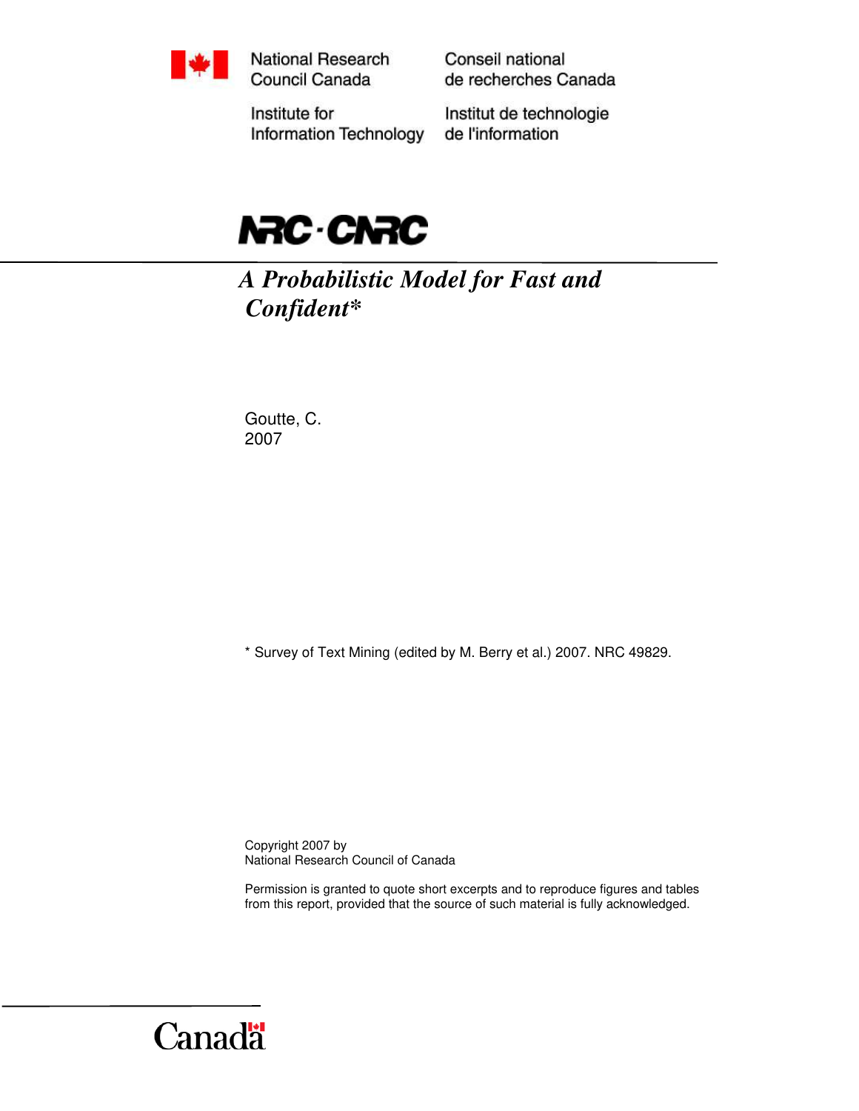

National Research Council Canada

Conseil national de recherches Canada

Institute for Information Technology Institut de technologie de l'information



*A Probabilistic Model for Fast and Confident\** 

Goutte, C. 2007

\* Survey of Text Mining (edited by M. Berry et al.) 2007. NRC 49829.

Copyright 2007 by National Research Council of Canada

Permission is granted to quote short excerpts and to reproduce figures and tables from this report, provided that the source of such material is fully acknowledged.

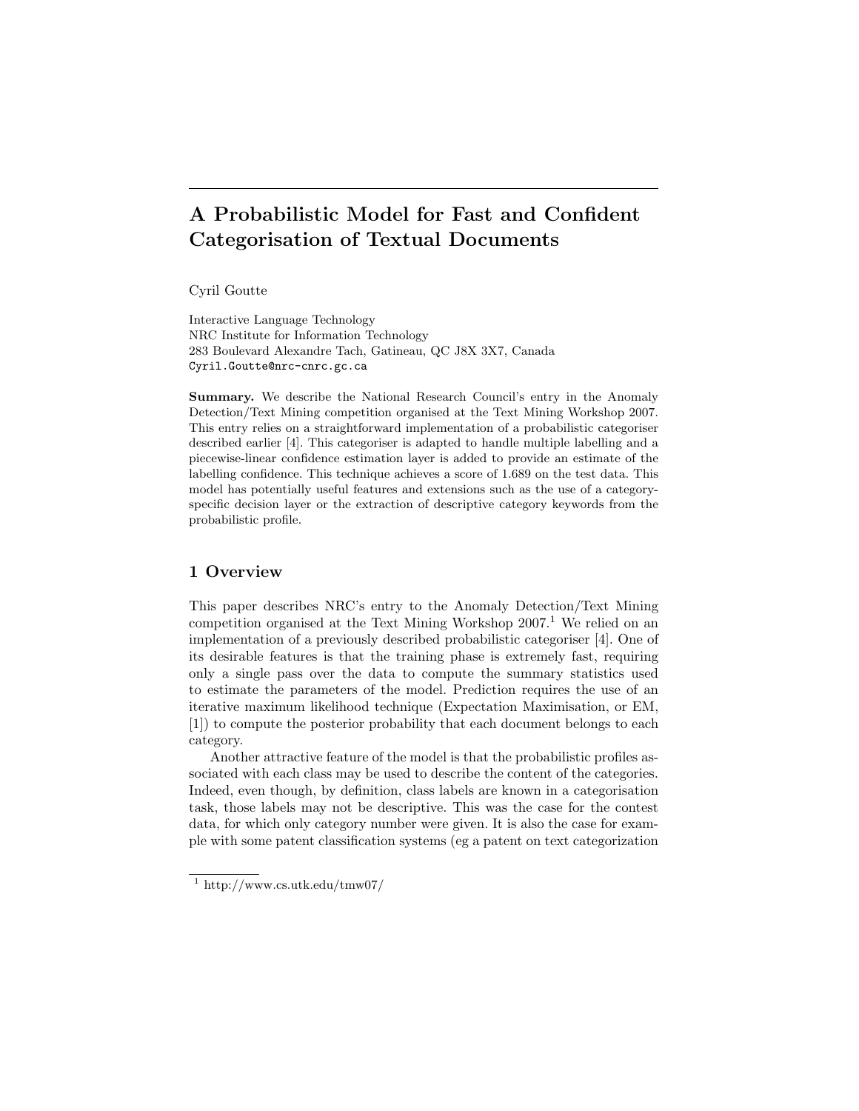## A Probabilistic Model for Fast and Confident Categorisation of Textual Documents

Cyril Goutte

Interactive Language Technology NRC Institute for Information Technology 283 Boulevard Alexandre Tach, Gatineau, QC J8X 3X7, Canada Cyril.Goutte@nrc-cnrc.gc.ca

Summary. We describe the National Research Council's entry in the Anomaly Detection/Text Mining competition organised at the Text Mining Workshop 2007. This entry relies on a straightforward implementation of a probabilistic categoriser described earlier [4]. This categoriser is adapted to handle multiple labelling and a piecewise-linear confidence estimation layer is added to provide an estimate of the labelling confidence. This technique achieves a score of 1.689 on the test data. This model has potentially useful features and extensions such as the use of a categoryspecific decision layer or the extraction of descriptive category keywords from the probabilistic profile.

## 1 Overview

This paper describes NRC's entry to the Anomaly Detection/Text Mining competition organised at the Text Mining Workshop  $2007<sup>1</sup>$  We relied on an implementation of a previously described probabilistic categoriser [4]. One of its desirable features is that the training phase is extremely fast, requiring only a single pass over the data to compute the summary statistics used to estimate the parameters of the model. Prediction requires the use of an iterative maximum likelihood technique (Expectation Maximisation, or EM, [1]) to compute the posterior probability that each document belongs to each category.

Another attractive feature of the model is that the probabilistic profiles associated with each class may be used to describe the content of the categories. Indeed, even though, by definition, class labels are known in a categorisation task, those labels may not be descriptive. This was the case for the contest data, for which only category number were given. It is also the case for example with some patent classification systems (eg a patent on text categorization

 $1 \text{ http://www.cs.utk.edu/tmw07/}$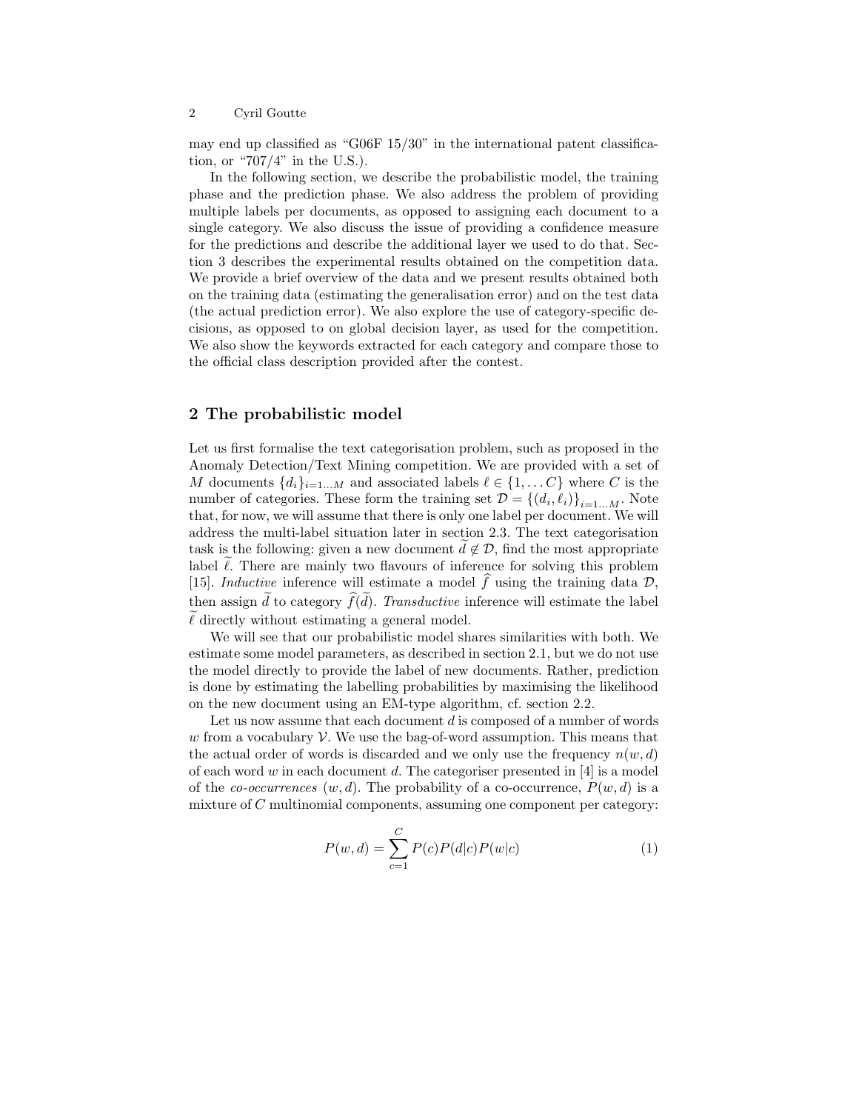may end up classified as "G06F 15/30" in the international patent classification, or " $707/4$ " in the U.S.).

In the following section, we describe the probabilistic model, the training phase and the prediction phase. We also address the problem of providing multiple labels per documents, as opposed to assigning each document to a single category. We also discuss the issue of providing a confidence measure for the predictions and describe the additional layer we used to do that. Section 3 describes the experimental results obtained on the competition data. We provide a brief overview of the data and we present results obtained both on the training data (estimating the generalisation error) and on the test data (the actual prediction error). We also explore the use of category-specific decisions, as opposed to on global decision layer, as used for the competition. We also show the keywords extracted for each category and compare those to the official class description provided after the contest.

## 2 The probabilistic model

Let us first formalise the text categorisation problem, such as proposed in the Anomaly Detection/Text Mining competition. We are provided with a set of M documents  $\{d_i\}_{i=1...M}$  and associated labels  $\ell \in \{1,...C\}$  where C is the number of categories. These form the training set  $\mathcal{D} = \{ (d_i, \ell_i) \}_{i=1...M}$ . Note that, for now, we will assume that there is only one label per document. We will address the multi-label situation later in section 2.3. The text categorisation task is the following: given a new document  $\tilde{d} \notin \mathcal{D}$ , find the most appropriate label  $\tilde{\ell}$ . There are mainly two flavours of inference for solving this problem [15]. Inductive inference will estimate a model  $\hat{f}$  using the training data D, then assign  $\tilde{d}$  to category  $\widehat{f}(\tilde{d})$ . Transductive inference will estimate the label  $\ell$  directly without estimating a general model.

We will see that our probabilistic model shares similarities with both. We estimate some model parameters, as described in section 2.1, but we do not use the model directly to provide the label of new documents. Rather, prediction is done by estimating the labelling probabilities by maximising the likelihood on the new document using an EM-type algorithm, cf. section 2.2.

Let us now assume that each document d is composed of a number of words w from a vocabulary  $\mathcal V$ . We use the bag-of-word assumption. This means that the actual order of words is discarded and we only use the frequency  $n(w, d)$ of each word w in each document d. The categoriser presented in  $[4]$  is a model of the co-occurrences  $(w, d)$ . The probability of a co-occurrence,  $P(w, d)$  is a mixture of  $C$  multinomial components, assuming one component per category:

$$
P(w,d) = \sum_{c=1}^{C} P(c)P(d|c)P(w|c)
$$
 (1)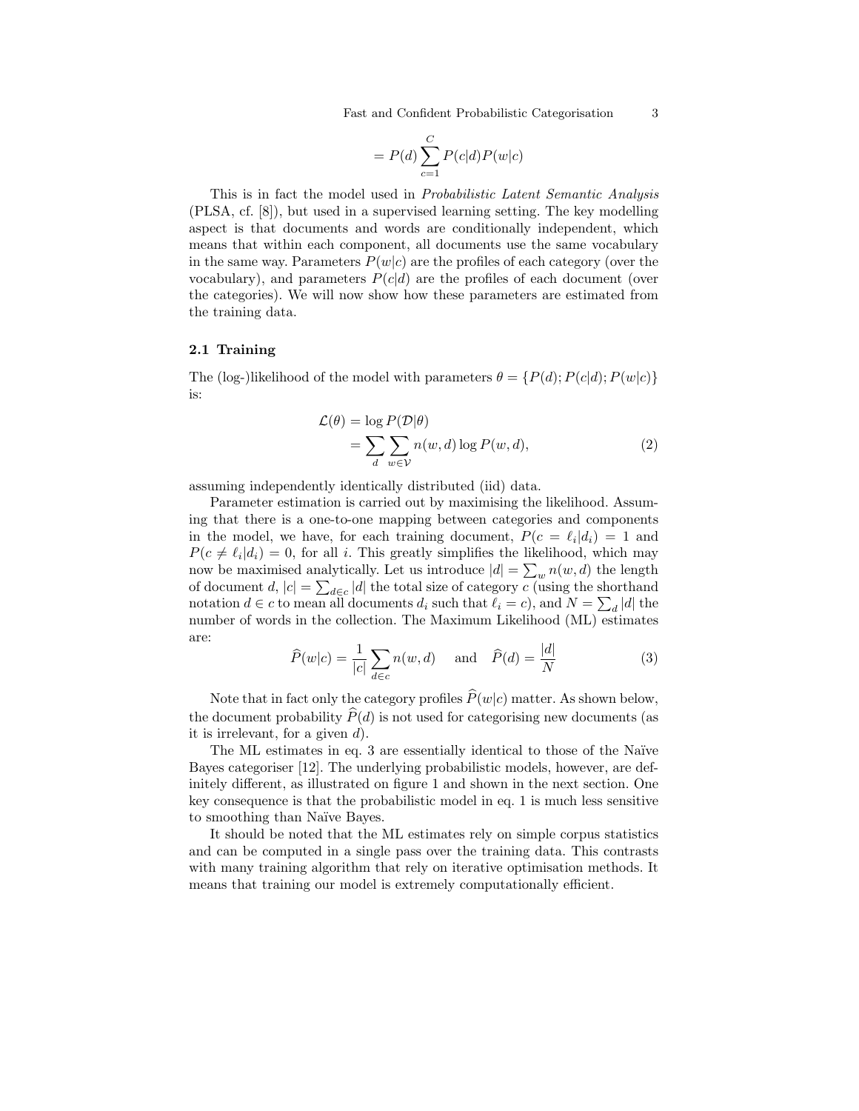Fast and Confident Probabilistic Categorisation 3

$$
= P(d) \sum_{c=1}^{C} P(c|d)P(w|c)
$$

This is in fact the model used in Probabilistic Latent Semantic Analysis (PLSA, cf. [8]), but used in a supervised learning setting. The key modelling aspect is that documents and words are conditionally independent, which means that within each component, all documents use the same vocabulary in the same way. Parameters  $P(w|c)$  are the profiles of each category (over the vocabulary), and parameters  $P(c|d)$  are the profiles of each document (over the categories). We will now show how these parameters are estimated from the training data.

#### 2.1 Training

The (log-)likelihood of the model with parameters  $\theta = \{P(d); P(c|d); P(w|c)\}$ is:

$$
\mathcal{L}(\theta) = \log P(\mathcal{D}|\theta) \n= \sum_{d} \sum_{w \in \mathcal{V}} n(w, d) \log P(w, d),
$$
\n(2)

assuming independently identically distributed (iid) data.

Parameter estimation is carried out by maximising the likelihood. Assuming that there is a one-to-one mapping between categories and components in the model, we have, for each training document,  $P(c = \ell_i | d_i) = 1$  and  $P(c \neq \ell_i | d_i) = 0$ , for all i. This greatly simplifies the likelihood, which may now be maximised analytically. Let us introduce  $|d| = \sum_{w} n(w, d)$  the length of document d,  $|c| = \sum_{d \in c} |d|$  the total size of category c (using the shorthand notation  $d \in \mathcal{C}$  to mean all documents  $d_i$  such that  $\ell_i = c$ , and  $N = \sum_d |d|$  the number of words in the collection. The Maximum Likelihood (ML) estimates are:

$$
\widehat{P}(w|c) = \frac{1}{|c|} \sum_{d \in c} n(w, d) \quad \text{and} \quad \widehat{P}(d) = \frac{|d|}{N} \tag{3}
$$

Note that in fact only the category profiles  $\widehat{P}(w|c)$  matter. As shown below, the document probability  $\widehat{P}(d)$  is not used for categorising new documents (as it is irrelevant, for a given  $d$ .

The ML estimates in eq. 3 are essentially identical to those of the Naïve Bayes categoriser [12]. The underlying probabilistic models, however, are definitely different, as illustrated on figure 1 and shown in the next section. One key consequence is that the probabilistic model in eq. 1 is much less sensitive to smoothing than Naïve Bayes.

It should be noted that the ML estimates rely on simple corpus statistics and can be computed in a single pass over the training data. This contrasts with many training algorithm that rely on iterative optimisation methods. It means that training our model is extremely computationally efficient.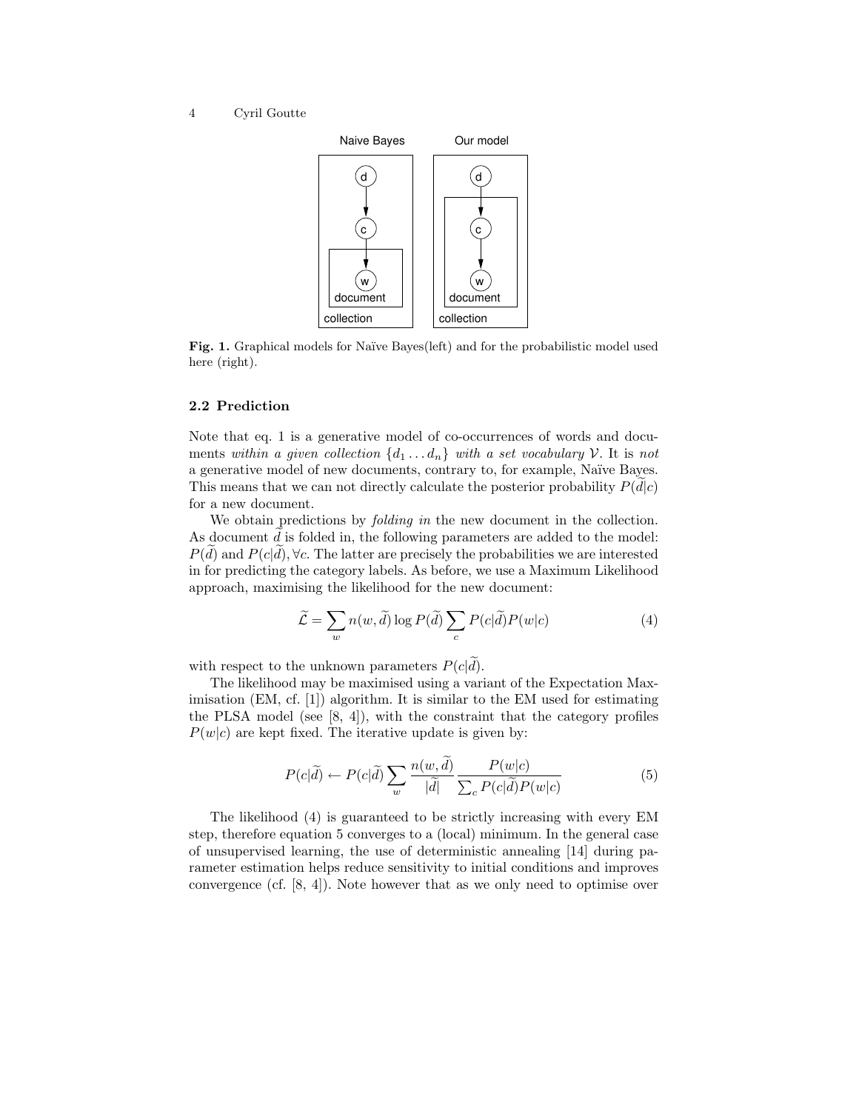

Fig. 1. Graphical models for Naïve Bayes(left) and for the probabilistic model used here (right).

#### 2.2 Prediction

Note that eq. 1 is a generative model of co-occurrences of words and documents within a given collection  $\{d_1 \ldots d_n\}$  with a set vocabulary V. It is not a generative model of new documents, contrary to, for example, Naïve Bayes. This means that we can not directly calculate the posterior probability  $P(d|c)$ for a new document.

We obtain predictions by *folding in* the new document in the collection. As document  $d$  is folded in, the following parameters are added to the model:  $P(d)$  and  $P(c|d)$ ,  $\forall c$ . The latter are precisely the probabilities we are interested in for predicting the category labels. As before, we use a Maximum Likelihood approach, maximising the likelihood for the new document:

$$
\widetilde{\mathcal{L}} = \sum_{w} n(w, \widetilde{d}) \log P(\widetilde{d}) \sum_{c} P(c|\widetilde{d}) P(w|c)
$$
\n(4)

with respect to the unknown parameters  $P(c|\tilde{d})$ .

The likelihood may be maximised using a variant of the Expectation Maximisation (EM, cf. [1]) algorithm. It is similar to the EM used for estimating the PLSA model (see  $[8, 4]$ ), with the constraint that the category profiles  $P(w|c)$  are kept fixed. The iterative update is given by:

$$
P(c|\tilde{d}) \leftarrow P(c|\tilde{d}) \sum_{w} \frac{n(w, \tilde{d})}{|\tilde{d}|} \frac{P(w|c)}{\sum_{c} P(c|\tilde{d}) P(w|c)} \tag{5}
$$

The likelihood (4) is guaranteed to be strictly increasing with every EM step, therefore equation 5 converges to a (local) minimum. In the general case of unsupervised learning, the use of deterministic annealing [14] during parameter estimation helps reduce sensitivity to initial conditions and improves convergence (cf. [8, 4]). Note however that as we only need to optimise over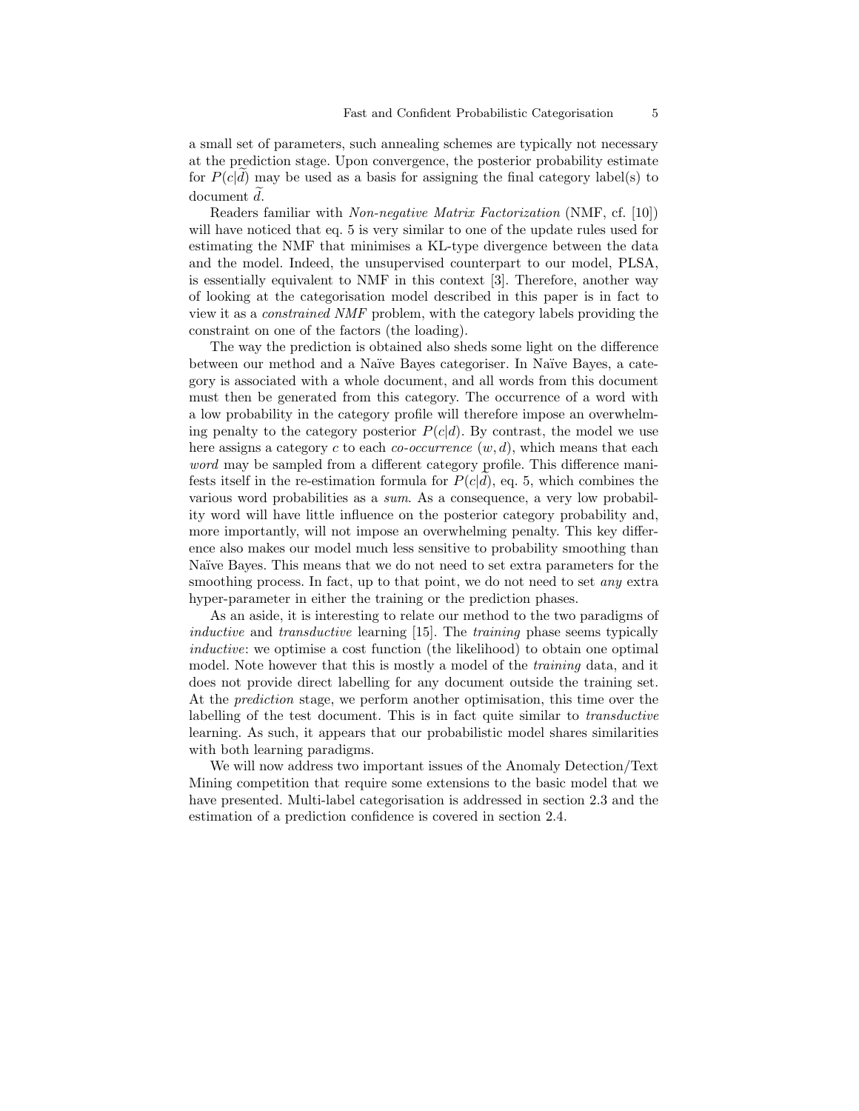a small set of parameters, such annealing schemes are typically not necessary at the prediction stage. Upon convergence, the posterior probability estimate for  $P(c|d)$  may be used as a basis for assigning the final category label(s) to  $document d.$ 

Readers familiar with Non-negative Matrix Factorization (NMF, cf. [10]) will have noticed that eq. 5 is very similar to one of the update rules used for estimating the NMF that minimises a KL-type divergence between the data and the model. Indeed, the unsupervised counterpart to our model, PLSA, is essentially equivalent to NMF in this context [3]. Therefore, another way of looking at the categorisation model described in this paper is in fact to view it as a constrained NMF problem, with the category labels providing the constraint on one of the factors (the loading).

The way the prediction is obtained also sheds some light on the difference between our method and a Naïve Bayes categoriser. In Naïve Bayes, a category is associated with a whole document, and all words from this document must then be generated from this category. The occurrence of a word with a low probability in the category profile will therefore impose an overwhelming penalty to the category posterior  $P(c|d)$ . By contrast, the model we use here assigns a category c to each co-occurrence  $(w, d)$ , which means that each word may be sampled from a different category profile. This difference manifests itself in the re-estimation formula for  $P(c|d)$ , eq. 5, which combines the various word probabilities as a sum. As a consequence, a very low probability word will have little influence on the posterior category probability and, more importantly, will not impose an overwhelming penalty. This key difference also makes our model much less sensitive to probability smoothing than Naïve Bayes. This means that we do not need to set extra parameters for the smoothing process. In fact, up to that point, we do not need to set *any* extra hyper-parameter in either the training or the prediction phases.

As an aside, it is interesting to relate our method to the two paradigms of inductive and transductive learning [15]. The training phase seems typically inductive: we optimise a cost function (the likelihood) to obtain one optimal model. Note however that this is mostly a model of the *training* data, and it does not provide direct labelling for any document outside the training set. At the prediction stage, we perform another optimisation, this time over the labelling of the test document. This is in fact quite similar to transductive learning. As such, it appears that our probabilistic model shares similarities with both learning paradigms.

We will now address two important issues of the Anomaly Detection/Text Mining competition that require some extensions to the basic model that we have presented. Multi-label categorisation is addressed in section 2.3 and the estimation of a prediction confidence is covered in section 2.4.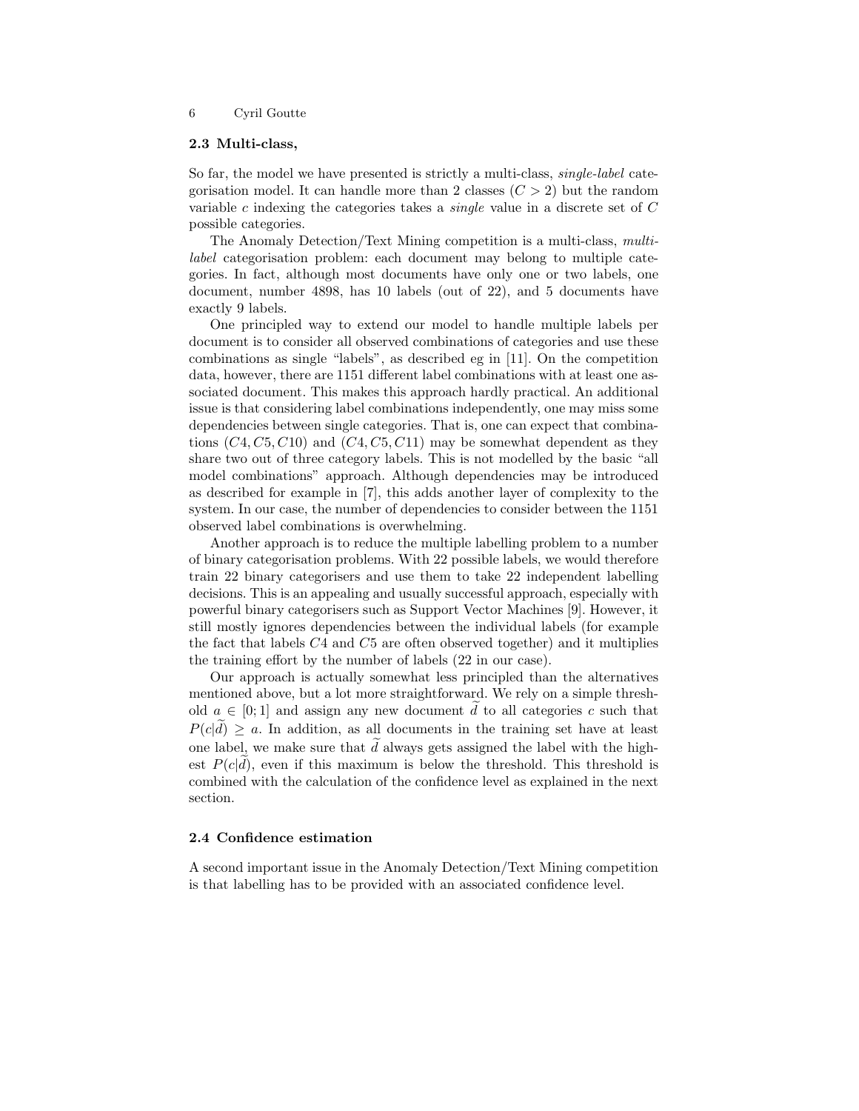#### 2.3 Multi-class,

So far, the model we have presented is strictly a multi-class, *single-label* categorisation model. It can handle more than 2 classes  $(C > 2)$  but the random variable  $c$  indexing the categories takes a *single* value in a discrete set of  $C$ possible categories.

The Anomaly Detection/Text Mining competition is a multi-class, multilabel categorisation problem: each document may belong to multiple categories. In fact, although most documents have only one or two labels, one document, number 4898, has 10 labels (out of 22), and 5 documents have exactly 9 labels.

One principled way to extend our model to handle multiple labels per document is to consider all observed combinations of categories and use these combinations as single "labels", as described eg in [11]. On the competition data, however, there are 1151 different label combinations with at least one associated document. This makes this approach hardly practical. An additional issue is that considering label combinations independently, one may miss some dependencies between single categories. That is, one can expect that combinations  $(C4, C5, C10)$  and  $(C4, C5, C11)$  may be somewhat dependent as they share two out of three category labels. This is not modelled by the basic "all model combinations" approach. Although dependencies may be introduced as described for example in [7], this adds another layer of complexity to the system. In our case, the number of dependencies to consider between the 1151 observed label combinations is overwhelming.

Another approach is to reduce the multiple labelling problem to a number of binary categorisation problems. With 22 possible labels, we would therefore train 22 binary categorisers and use them to take 22 independent labelling decisions. This is an appealing and usually successful approach, especially with powerful binary categorisers such as Support Vector Machines [9]. However, it still mostly ignores dependencies between the individual labels (for example the fact that labels  $C_4$  and  $C_5$  are often observed together) and it multiplies the training effort by the number of labels (22 in our case).

Our approach is actually somewhat less principled than the alternatives mentioned above, but a lot more straightforward. We rely on a simple threshold  $a \in [0,1]$  and assign any new document d to all categories c such that  $P(cl) > a$ . In addition, as all documents in the training set have at least one label, we make sure that  $d$  always gets assigned the label with the highest  $P(c|d)$ , even if this maximum is below the threshold. This threshold is combined with the calculation of the confidence level as explained in the next section.

#### 2.4 Confidence estimation

A second important issue in the Anomaly Detection/Text Mining competition is that labelling has to be provided with an associated confidence level.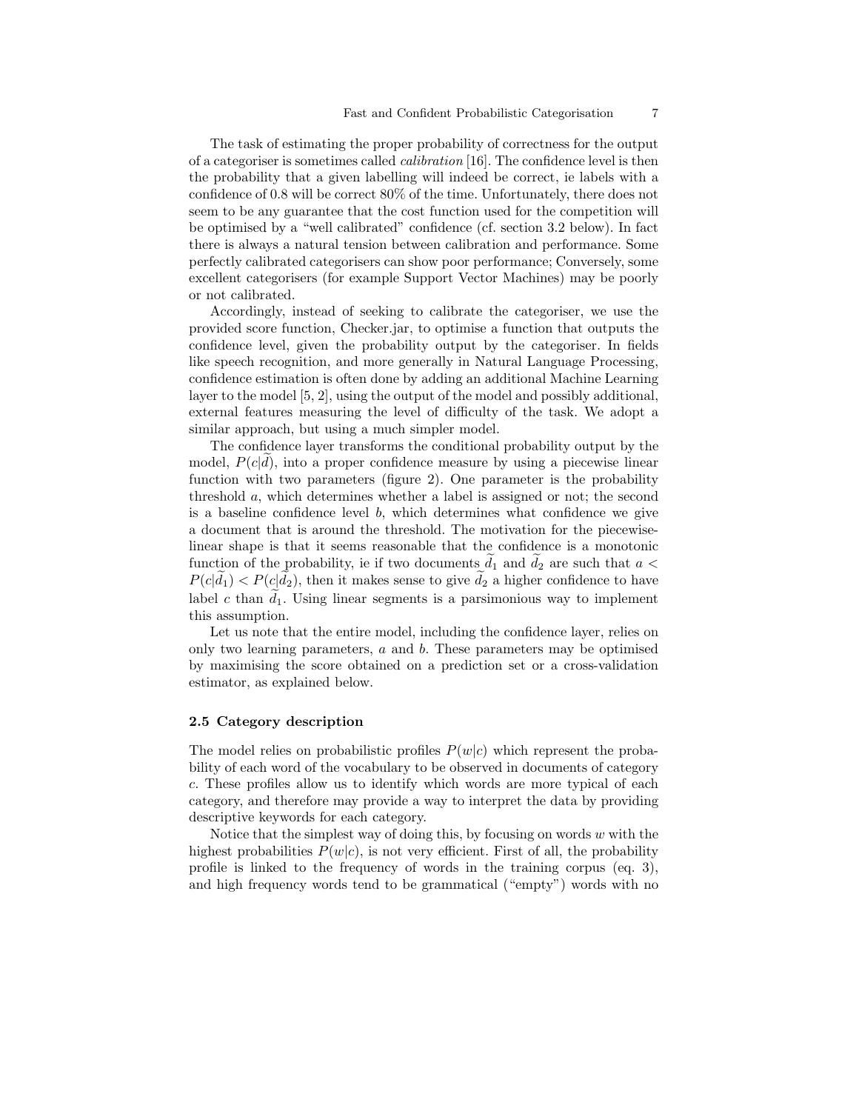The task of estimating the proper probability of correctness for the output of a categoriser is sometimes called calibration [16]. The confidence level is then the probability that a given labelling will indeed be correct, ie labels with a confidence of 0.8 will be correct 80% of the time. Unfortunately, there does not seem to be any guarantee that the cost function used for the competition will be optimised by a "well calibrated" confidence (cf. section 3.2 below). In fact there is always a natural tension between calibration and performance. Some perfectly calibrated categorisers can show poor performance; Conversely, some excellent categorisers (for example Support Vector Machines) may be poorly or not calibrated.

Accordingly, instead of seeking to calibrate the categoriser, we use the provided score function, Checker.jar, to optimise a function that outputs the confidence level, given the probability output by the categoriser. In fields like speech recognition, and more generally in Natural Language Processing, confidence estimation is often done by adding an additional Machine Learning layer to the model [5, 2], using the output of the model and possibly additional, external features measuring the level of difficulty of the task. We adopt a similar approach, but using a much simpler model.

The confidence layer transforms the conditional probability output by the model,  $P(c|d)$ , into a proper confidence measure by using a piecewise linear function with two parameters (figure 2). One parameter is the probability threshold a, which determines whether a label is assigned or not; the second is a baseline confidence level  $b$ , which determines what confidence we give a document that is around the threshold. The motivation for the piecewiselinear shape is that it seems reasonable that the confidence is a monotonic function of the probability, ie if two documents  $d_1$  and  $d_2$  are such that  $a <$  $P(c|d_1) < P(c|d_2)$ , then it makes sense to give  $d_2$  a higher confidence to have label c than  $d_1$ . Using linear segments is a parsimonious way to implement this assumption.

Let us note that the entire model, including the confidence layer, relies on only two learning parameters,  $a$  and  $b$ . These parameters may be optimised by maximising the score obtained on a prediction set or a cross-validation estimator, as explained below.

#### 2.5 Category description

The model relies on probabilistic profiles  $P(w|c)$  which represent the probability of each word of the vocabulary to be observed in documents of category c. These profiles allow us to identify which words are more typical of each category, and therefore may provide a way to interpret the data by providing descriptive keywords for each category.

Notice that the simplest way of doing this, by focusing on words  $w$  with the highest probabilities  $P(w|c)$ , is not very efficient. First of all, the probability profile is linked to the frequency of words in the training corpus (eq. 3), and high frequency words tend to be grammatical ("empty") words with no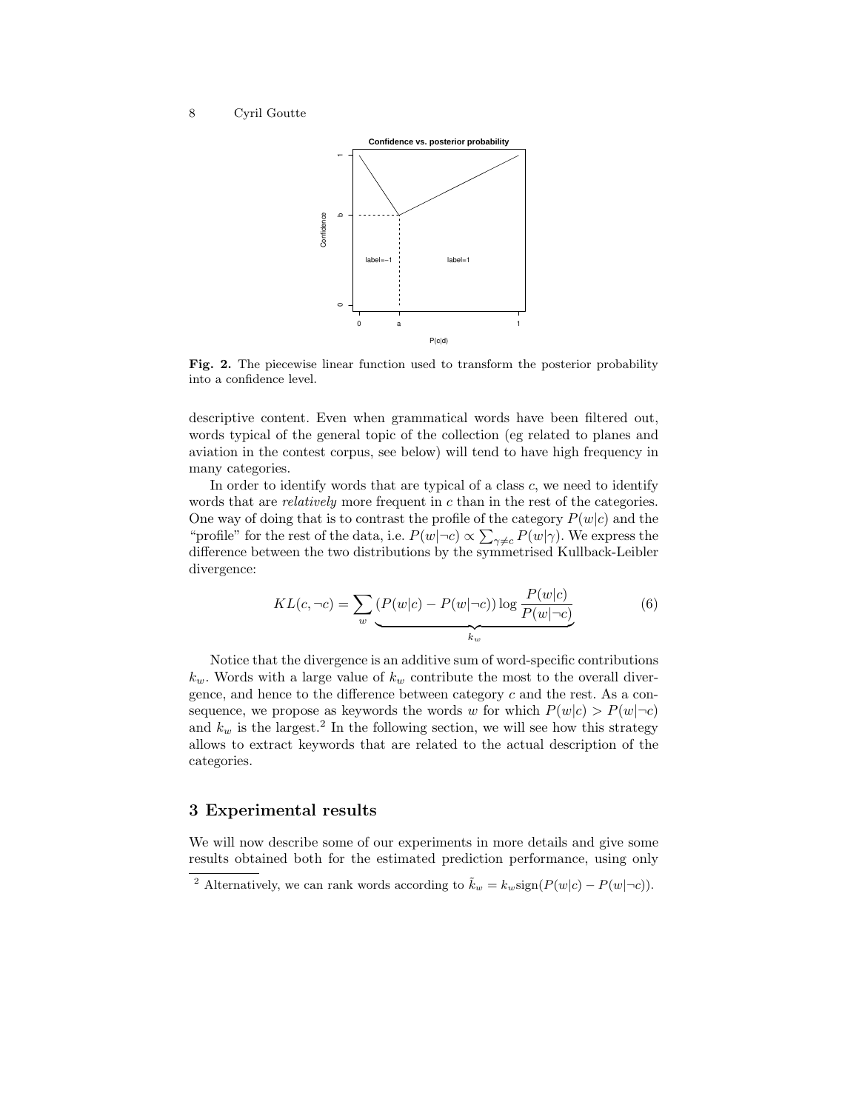

Fig. 2. The piecewise linear function used to transform the posterior probability into a confidence level.

descriptive content. Even when grammatical words have been filtered out, words typical of the general topic of the collection (eg related to planes and aviation in the contest corpus, see below) will tend to have high frequency in many categories.

In order to identify words that are typical of a class  $c$ , we need to identify words that are *relatively* more frequent in  $c$  than in the rest of the categories. One way of doing that is to contrast the profile of the category  $P(w|c)$  and the "profile" for the rest of the data, i.e.  $P(w|\neg c) \propto \sum_{\gamma \neq c} P(w|\gamma)$ . We express the difference between the two distributions by the symmetrised Kullback-Leibler divergence:

$$
KL(c, \neg c) = \sum_{w} \underbrace{(P(w|c) - P(w|\neg c)) \log \frac{P(w|c)}{P(w|\neg c)}}_{k_w}
$$
(6)

Notice that the divergence is an additive sum of word-specific contributions  $k_w$ . Words with a large value of  $k_w$  contribute the most to the overall divergence, and hence to the difference between category  $c$  and the rest. As a consequence, we propose as keywords the words w for which  $P(w|c) > P(w|\neg c)$ and  $k_w$  is the largest.<sup>2</sup> In the following section, we will see how this strategy allows to extract keywords that are related to the actual description of the categories.

## 3 Experimental results

We will now describe some of our experiments in more details and give some results obtained both for the estimated prediction performance, using only

<sup>&</sup>lt;sup>2</sup> Alternatively, we can rank words according to  $\tilde{k}_w = k_w \text{sign}(P(w|c) - P(w|\neg c))$ .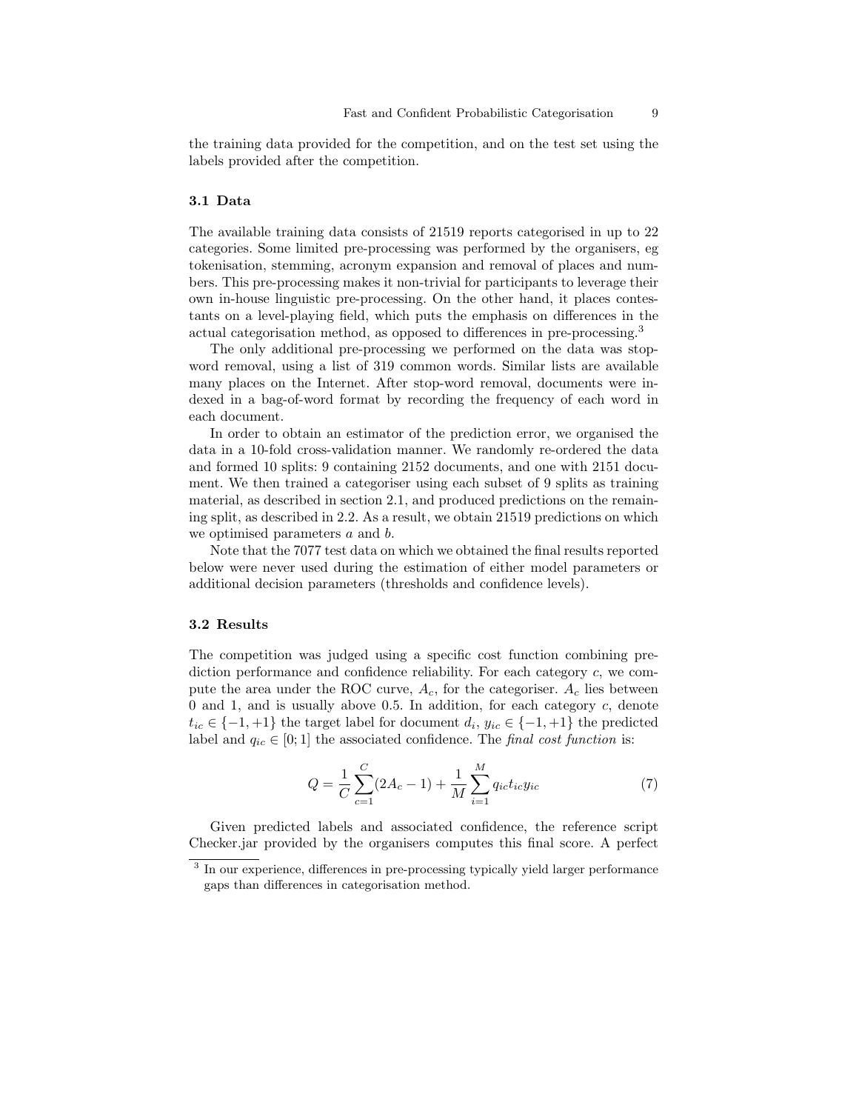the training data provided for the competition, and on the test set using the labels provided after the competition.

### 3.1 Data

The available training data consists of 21519 reports categorised in up to 22 categories. Some limited pre-processing was performed by the organisers, eg tokenisation, stemming, acronym expansion and removal of places and numbers. This pre-processing makes it non-trivial for participants to leverage their own in-house linguistic pre-processing. On the other hand, it places contestants on a level-playing field, which puts the emphasis on differences in the actual categorisation method, as opposed to differences in pre-processing.<sup>3</sup>

The only additional pre-processing we performed on the data was stopword removal, using a list of 319 common words. Similar lists are available many places on the Internet. After stop-word removal, documents were indexed in a bag-of-word format by recording the frequency of each word in each document.

In order to obtain an estimator of the prediction error, we organised the data in a 10-fold cross-validation manner. We randomly re-ordered the data and formed 10 splits: 9 containing 2152 documents, and one with 2151 document. We then trained a categoriser using each subset of 9 splits as training material, as described in section 2.1, and produced predictions on the remaining split, as described in 2.2. As a result, we obtain 21519 predictions on which we optimised parameters a and b.

Note that the 7077 test data on which we obtained the final results reported below were never used during the estimation of either model parameters or additional decision parameters (thresholds and confidence levels).

#### 3.2 Results

The competition was judged using a specific cost function combining prediction performance and confidence reliability. For each category c, we compute the area under the ROC curve,  $A_c$ , for the categoriser.  $A_c$  lies between 0 and 1, and is usually above 0.5. In addition, for each category  $c$ , denote  $t_{ic} \in \{-1, +1\}$  the target label for document  $d_i, y_{ic} \in \{-1, +1\}$  the predicted label and  $q_{ic} \in [0, 1]$  the associated confidence. The final cost function is:

$$
Q = \frac{1}{C} \sum_{c=1}^{C} (2A_c - 1) + \frac{1}{M} \sum_{i=1}^{M} q_{ic} t_{ic} y_{ic}
$$
 (7)

Given predicted labels and associated confidence, the reference script Checker.jar provided by the organisers computes this final score. A perfect

<sup>&</sup>lt;sup>3</sup> In our experience, differences in pre-processing typically yield larger performance gaps than differences in categorisation method.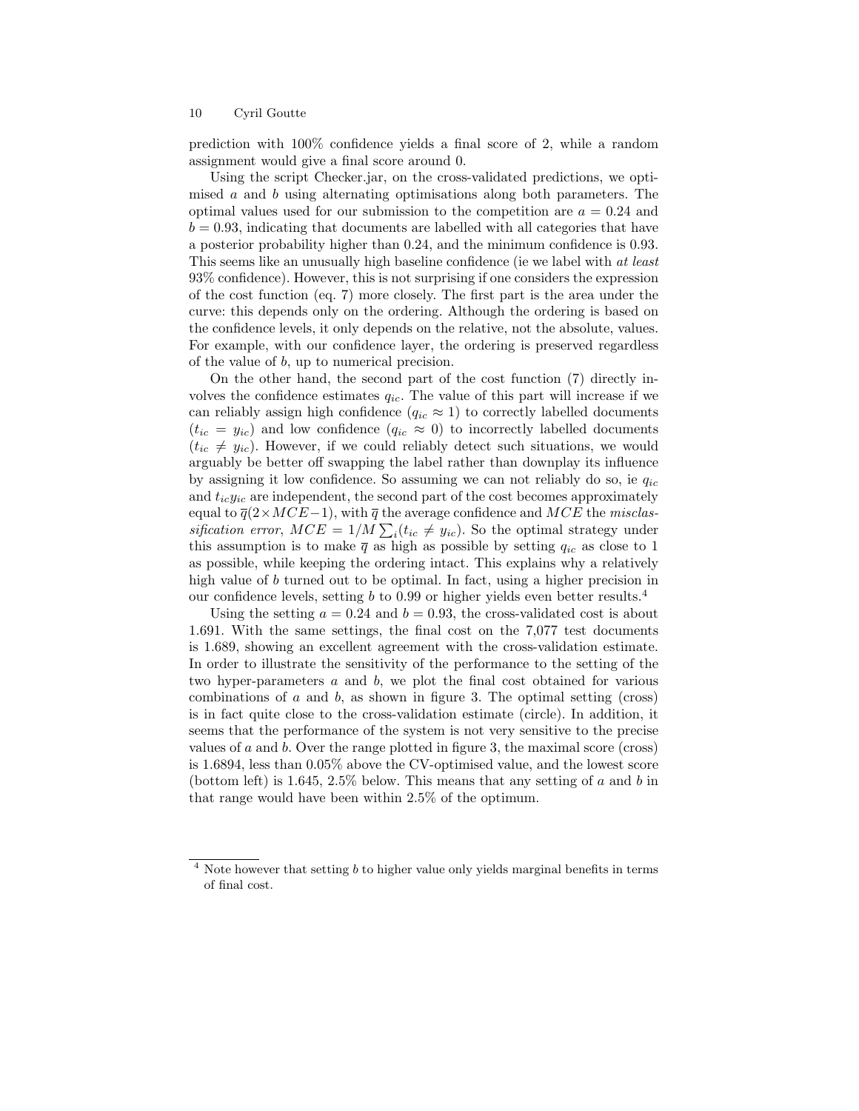prediction with 100% confidence yields a final score of 2, while a random assignment would give a final score around 0.

Using the script Checker.jar, on the cross-validated predictions, we optimised a and b using alternating optimisations along both parameters. The optimal values used for our submission to the competition are  $a = 0.24$  and  $b = 0.93$ , indicating that documents are labelled with all categories that have a posterior probability higher than 0.24, and the minimum confidence is 0.93. This seems like an unusually high baseline confidence (ie we label with at least 93% confidence). However, this is not surprising if one considers the expression of the cost function (eq. 7) more closely. The first part is the area under the curve: this depends only on the ordering. Although the ordering is based on the confidence levels, it only depends on the relative, not the absolute, values. For example, with our confidence layer, the ordering is preserved regardless of the value of b, up to numerical precision.

On the other hand, the second part of the cost function (7) directly involves the confidence estimates  $q_{ic}$ . The value of this part will increase if we can reliably assign high confidence  $(q_{ic} \approx 1)$  to correctly labelled documents  $(t_{ic} = y_{ic})$  and low confidence  $(q_{ic} \approx 0)$  to incorrectly labelled documents  $(t_{ic} \neq y_{ic})$ . However, if we could reliably detect such situations, we would arguably be better off swapping the label rather than downplay its influence by assigning it low confidence. So assuming we can not reliably do so, ie  $q_{ic}$ and  $t_{ic}y_{ic}$  are independent, the second part of the cost becomes approximately equal to  $\overline{q}(2 \times MCE-1)$ , with  $\overline{q}$  the average confidence and  $MCE$  the misclassification error,  $MCE = 1/M \sum_i (t_{ic} \neq y_{ic})$ . So the optimal strategy under this assumption is to make  $\bar{q}$  as high as possible by setting  $q_{ic}$  as close to 1 as possible, while keeping the ordering intact. This explains why a relatively high value of b turned out to be optimal. In fact, using a higher precision in our confidence levels, setting b to 0.99 or higher yields even better results.<sup>4</sup>

Using the setting  $a = 0.24$  and  $b = 0.93$ , the cross-validated cost is about 1.691. With the same settings, the final cost on the 7,077 test documents is 1.689, showing an excellent agreement with the cross-validation estimate. In order to illustrate the sensitivity of the performance to the setting of the two hyper-parameters  $a$  and  $b$ , we plot the final cost obtained for various combinations of  $a$  and  $b$ , as shown in figure 3. The optimal setting (cross) is in fact quite close to the cross-validation estimate (circle). In addition, it seems that the performance of the system is not very sensitive to the precise values of  $a$  and  $b$ . Over the range plotted in figure 3, the maximal score (cross) is 1.6894, less than 0.05% above the CV-optimised value, and the lowest score (bottom left) is 1.645, 2.5% below. This means that any setting of a and b in that range would have been within 2.5% of the optimum.

Note however that setting  $b$  to higher value only yields marginal benefits in terms of final cost.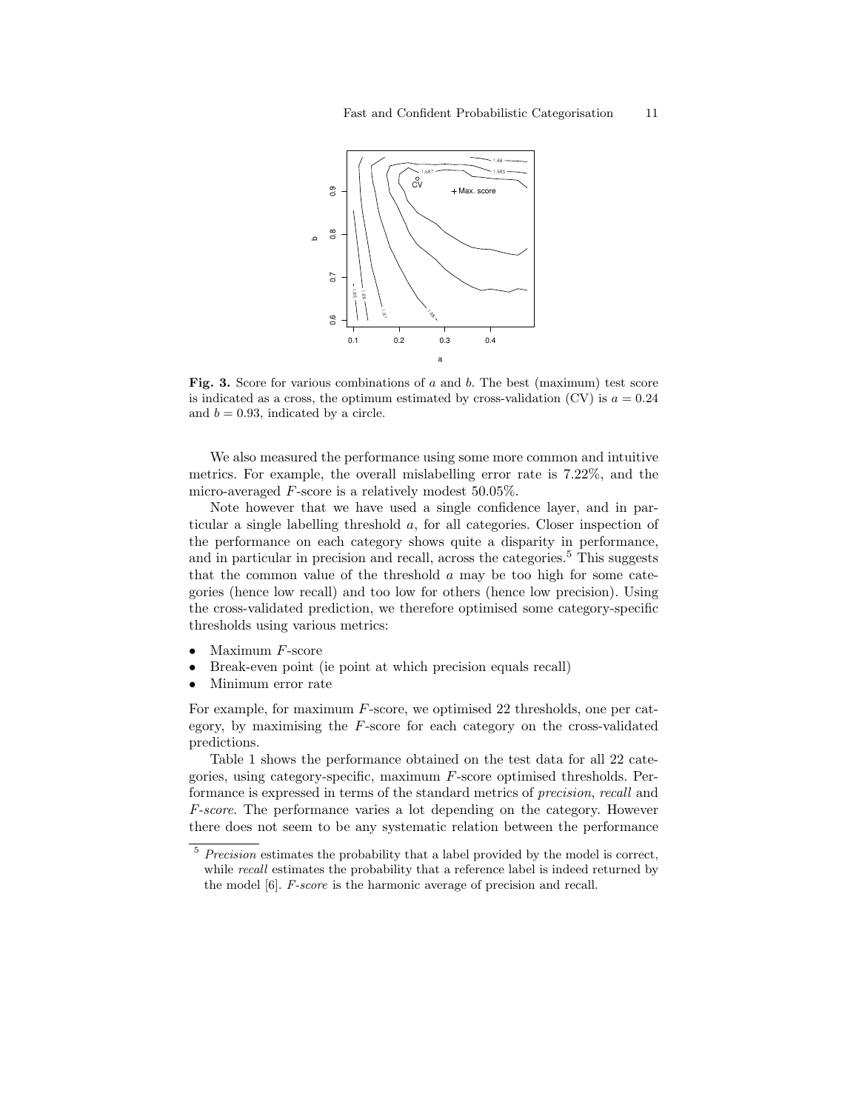

Fig. 3. Score for various combinations of  $a$  and  $b$ . The best (maximum) test score is indicated as a cross, the optimum estimated by cross-validation (CV) is  $a = 0.24$ and  $b = 0.93$ , indicated by a circle.

We also measured the performance using some more common and intuitive metrics. For example, the overall mislabelling error rate is 7.22%, and the micro-averaged F-score is a relatively modest 50.05%.

Note however that we have used a single confidence layer, and in particular a single labelling threshold a, for all categories. Closer inspection of the performance on each category shows quite a disparity in performance, and in particular in precision and recall, across the categories.<sup>5</sup> This suggests that the common value of the threshold  $a$  may be too high for some categories (hence low recall) and too low for others (hence low precision). Using the cross-validated prediction, we therefore optimised some category-specific thresholds using various metrics:

- Maximum  $F$ -score
- Break-even point (ie point at which precision equals recall)
- Minimum error rate

For example, for maximum F-score, we optimised 22 thresholds, one per category, by maximising the  $F$ -score for each category on the cross-validated predictions.

Table 1 shows the performance obtained on the test data for all 22 categories, using category-specific, maximum F-score optimised thresholds. Performance is expressed in terms of the standard metrics of precision, recall and F-score. The performance varies a lot depending on the category. However there does not seem to be any systematic relation between the performance

 $5$  Precision estimates the probability that a label provided by the model is correct, while *recall* estimates the probability that a reference label is indeed returned by the model [6]. F-score is the harmonic average of precision and recall.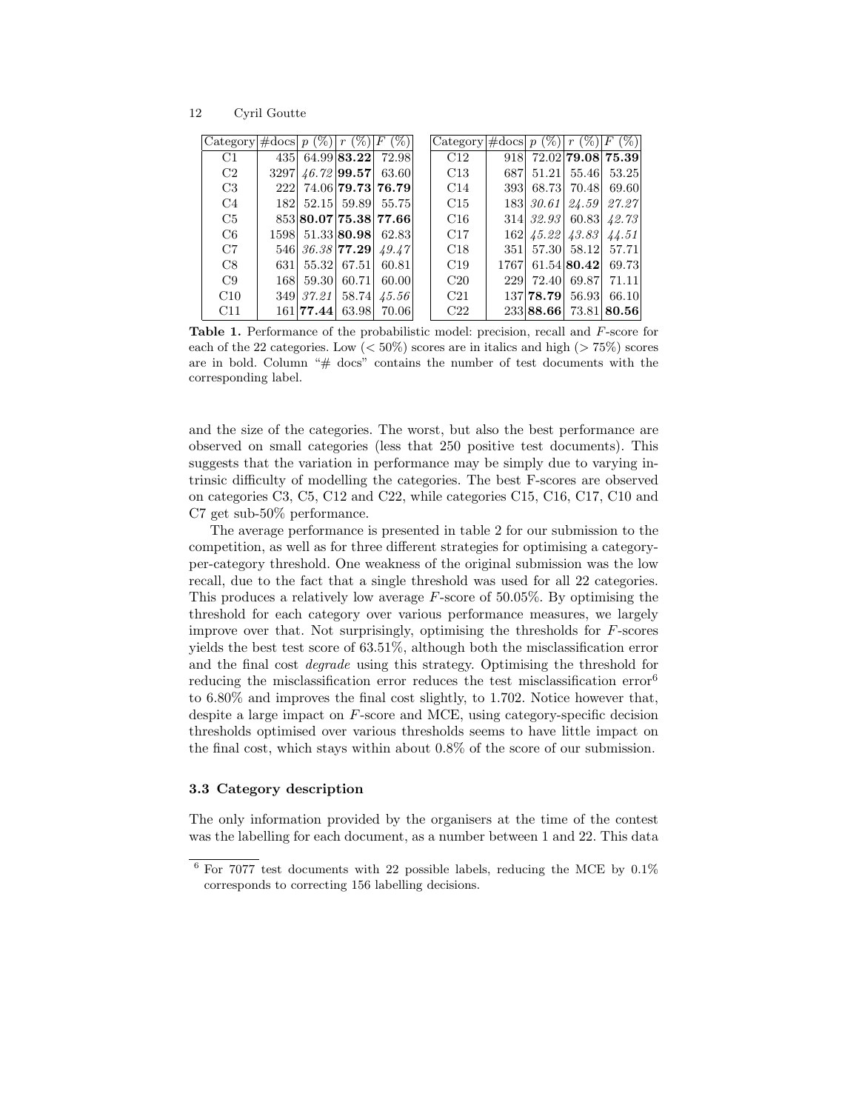12 Cyril Goutte

| $ {\rm Category} $ #docs $ p(\%)  r(\%) F$ |     |                                   | $(\%)$                                        | Category $\#\text{docs}   p (\%)   r (\%)   F$ |     |                       | $($ %) $ $            |
|--------------------------------------------|-----|-----------------------------------|-----------------------------------------------|------------------------------------------------|-----|-----------------------|-----------------------|
| C1                                         |     |                                   | 435 64.99 <b>83.22</b> 72.98                  | C12                                            | 918 |                       | 72.02 79.08 75.39     |
| C2                                         |     | $3297 \mid 46.72 \mid 99.57 \mid$ | 63.60                                         | C13                                            | 687 | 51.21 55.46           | 53.25                 |
| C <sub>3</sub>                             |     |                                   | 222 74.06 79.73 76.79                         | C14                                            | 393 | 68.73 70.48           | 69.60                 |
| C <sub>4</sub>                             |     |                                   | 182 52.15 59.89 55.75                         | C15                                            |     |                       | 183 30.61 24.59 27.27 |
| C5                                         |     |                                   | 853 80.07 75.38 77.66                         | C16                                            |     | 314 32.93 60.83       | 42.73                 |
| C6                                         |     |                                   | 1598 51.33 80.98 62.83                        | C17                                            |     | 162 45.22 43.83       | 44.51                 |
| C7                                         |     |                                   | 546 36.38 <b>77.29</b> $\left[ 49.47 \right]$ | C18                                            |     | 351 57.30 58.12 57.71 |                       |
| C8                                         | 631 | 55.32 67.51                       | 60.81                                         | C19                                            |     | 1767 61.54 80.42      | 69.73                 |
| C9                                         | 168 | 59.30 60.71                       | 60.00                                         | C20                                            | 229 | 72.40 69.87           | 71.11                 |
| C10                                        |     | 349 37.21 58.74                   | 45.56                                         | C21                                            |     | 137 78.79 56.93       | 66.10                 |
| C11                                        |     | $161$  77.44  63.98               | 70.06                                         | C22                                            |     |                       | 233 88.66 73.81 80.56 |

Table 1. Performance of the probabilistic model: precision, recall and F-score for each of the 22 categories. Low  $(< 50\%)$  scores are in italics and high  $(> 75\%)$  scores are in bold. Column "# docs" contains the number of test documents with the corresponding label.

and the size of the categories. The worst, but also the best performance are observed on small categories (less that 250 positive test documents). This suggests that the variation in performance may be simply due to varying intrinsic difficulty of modelling the categories. The best F-scores are observed on categories C3, C5, C12 and C22, while categories C15, C16, C17, C10 and C7 get sub-50% performance.

The average performance is presented in table 2 for our submission to the competition, as well as for three different strategies for optimising a categoryper-category threshold. One weakness of the original submission was the low recall, due to the fact that a single threshold was used for all 22 categories. This produces a relatively low average  $F$ -score of 50.05%. By optimising the threshold for each category over various performance measures, we largely improve over that. Not surprisingly, optimising the thresholds for F-scores yields the best test score of 63.51%, although both the misclassification error and the final cost degrade using this strategy. Optimising the threshold for reducing the misclassification error reduces the test misclassification error<sup>6</sup> to 6.80% and improves the final cost slightly, to 1.702. Notice however that, despite a large impact on F-score and MCE, using category-specific decision thresholds optimised over various thresholds seems to have little impact on the final cost, which stays within about 0.8% of the score of our submission.

### 3.3 Category description

The only information provided by the organisers at the time of the contest was the labelling for each document, as a number between 1 and 22. This data

 $^6$  For 7077 test documents with 22 possible labels, reducing the MCE by  $0.1\%$ corresponds to correcting 156 labelling decisions.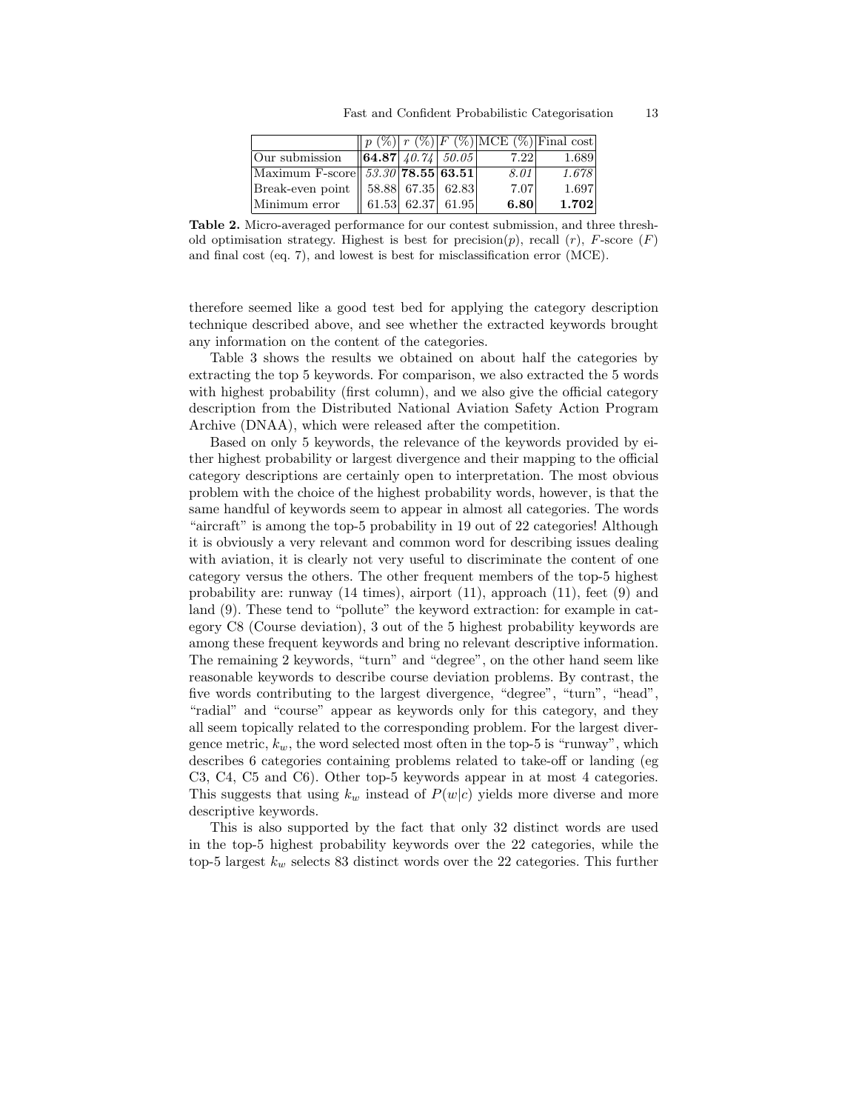|                                                  |                               |  |      | $\ p(\%) r(\%) F(\%) MCE(\%) Final cost $ |
|--------------------------------------------------|-------------------------------|--|------|-------------------------------------------|
| Our submission                                   | $\  64.87   40.74   50.05  $  |  | 7.22 | 1.689                                     |
| Maximum F-score   $53.30$   <b>78.55</b>   63.51 |                               |  | 8.01 | 1.678                                     |
| Break-even point    58.88 67.35 62.83            |                               |  | 7.07 | 1.697                                     |
| Minimum error                                    | $\parallel$ 61.53 62.37 61.95 |  | 6.80 | 1.702                                     |

Table 2. Micro-averaged performance for our contest submission, and three threshold optimisation strategy. Highest is best for precision(p), recall  $(r)$ , F-score  $(F)$ and final cost (eq. 7), and lowest is best for misclassification error (MCE).

therefore seemed like a good test bed for applying the category description technique described above, and see whether the extracted keywords brought any information on the content of the categories.

Table 3 shows the results we obtained on about half the categories by extracting the top 5 keywords. For comparison, we also extracted the 5 words with highest probability (first column), and we also give the official category description from the Distributed National Aviation Safety Action Program Archive (DNAA), which were released after the competition.

Based on only 5 keywords, the relevance of the keywords provided by either highest probability or largest divergence and their mapping to the official category descriptions are certainly open to interpretation. The most obvious problem with the choice of the highest probability words, however, is that the same handful of keywords seem to appear in almost all categories. The words "aircraft" is among the top-5 probability in 19 out of 22 categories! Although it is obviously a very relevant and common word for describing issues dealing with aviation, it is clearly not very useful to discriminate the content of one category versus the others. The other frequent members of the top-5 highest probability are: runway (14 times), airport (11), approach (11), feet (9) and land  $(9)$ . These tend to "pollute" the keyword extraction: for example in category C8 (Course deviation), 3 out of the 5 highest probability keywords are among these frequent keywords and bring no relevant descriptive information. The remaining 2 keywords, "turn" and "degree", on the other hand seem like reasonable keywords to describe course deviation problems. By contrast, the five words contributing to the largest divergence, "degree", "turn", "head", "radial" and "course" appear as keywords only for this category, and they all seem topically related to the corresponding problem. For the largest divergence metric,  $k_w$ , the word selected most often in the top-5 is "runway", which describes 6 categories containing problems related to take-off or landing (eg C3, C4, C5 and C6). Other top-5 keywords appear in at most 4 categories. This suggests that using  $k_w$  instead of  $P(w|c)$  yields more diverse and more descriptive keywords.

This is also supported by the fact that only 32 distinct words are used in the top-5 highest probability keywords over the 22 categories, while the top-5 largest  $k_w$  selects 83 distinct words over the 22 categories. This further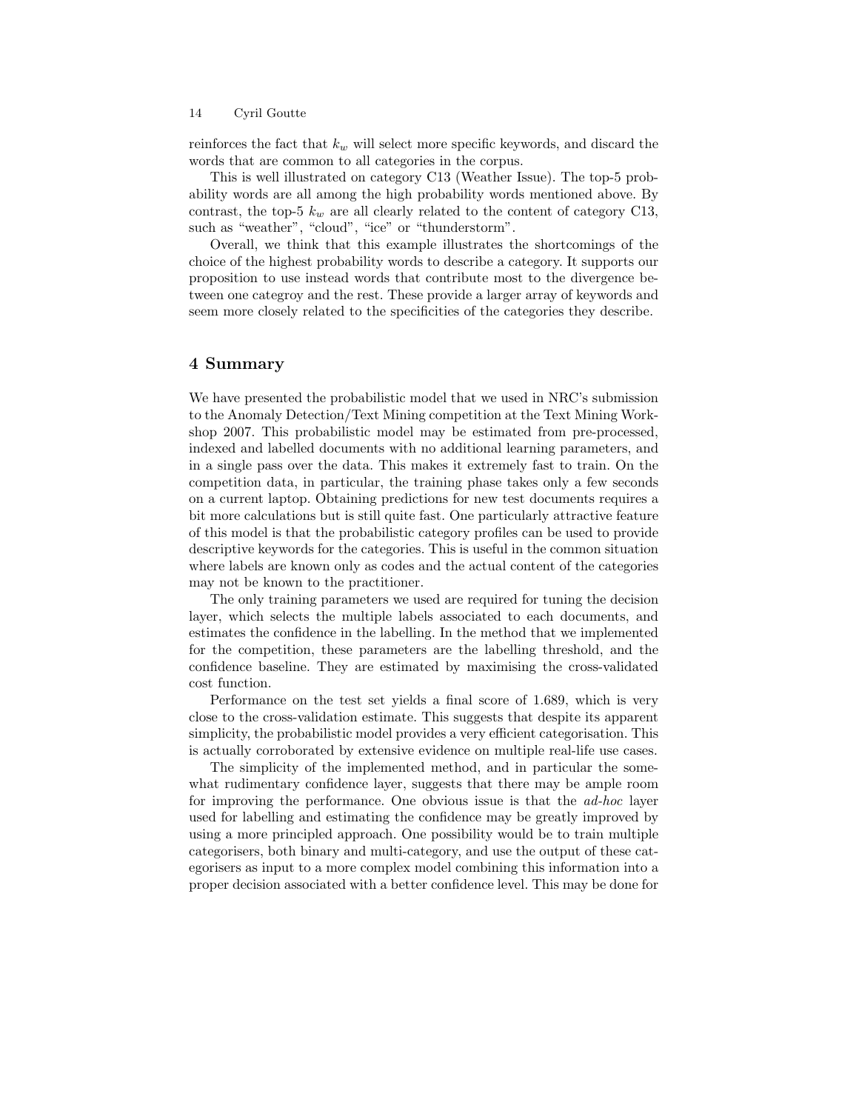reinforces the fact that  $k_w$  will select more specific keywords, and discard the words that are common to all categories in the corpus.

This is well illustrated on category C13 (Weather Issue). The top-5 probability words are all among the high probability words mentioned above. By contrast, the top-5  $k_w$  are all clearly related to the content of category C13, such as "weather", "cloud", "ice" or "thunderstorm".

Overall, we think that this example illustrates the shortcomings of the choice of the highest probability words to describe a category. It supports our proposition to use instead words that contribute most to the divergence between one categroy and the rest. These provide a larger array of keywords and seem more closely related to the specificities of the categories they describe.

## 4 Summary

We have presented the probabilistic model that we used in NRC's submission to the Anomaly Detection/Text Mining competition at the Text Mining Workshop 2007. This probabilistic model may be estimated from pre-processed, indexed and labelled documents with no additional learning parameters, and in a single pass over the data. This makes it extremely fast to train. On the competition data, in particular, the training phase takes only a few seconds on a current laptop. Obtaining predictions for new test documents requires a bit more calculations but is still quite fast. One particularly attractive feature of this model is that the probabilistic category profiles can be used to provide descriptive keywords for the categories. This is useful in the common situation where labels are known only as codes and the actual content of the categories may not be known to the practitioner.

The only training parameters we used are required for tuning the decision layer, which selects the multiple labels associated to each documents, and estimates the confidence in the labelling. In the method that we implemented for the competition, these parameters are the labelling threshold, and the confidence baseline. They are estimated by maximising the cross-validated cost function.

Performance on the test set yields a final score of 1.689, which is very close to the cross-validation estimate. This suggests that despite its apparent simplicity, the probabilistic model provides a very efficient categorisation. This is actually corroborated by extensive evidence on multiple real-life use cases.

The simplicity of the implemented method, and in particular the somewhat rudimentary confidence layer, suggests that there may be ample room for improving the performance. One obvious issue is that the ad-hoc layer used for labelling and estimating the confidence may be greatly improved by using a more principled approach. One possibility would be to train multiple categorisers, both binary and multi-category, and use the output of these categorisers as input to a more complex model combining this information into a proper decision associated with a better confidence level. This may be done for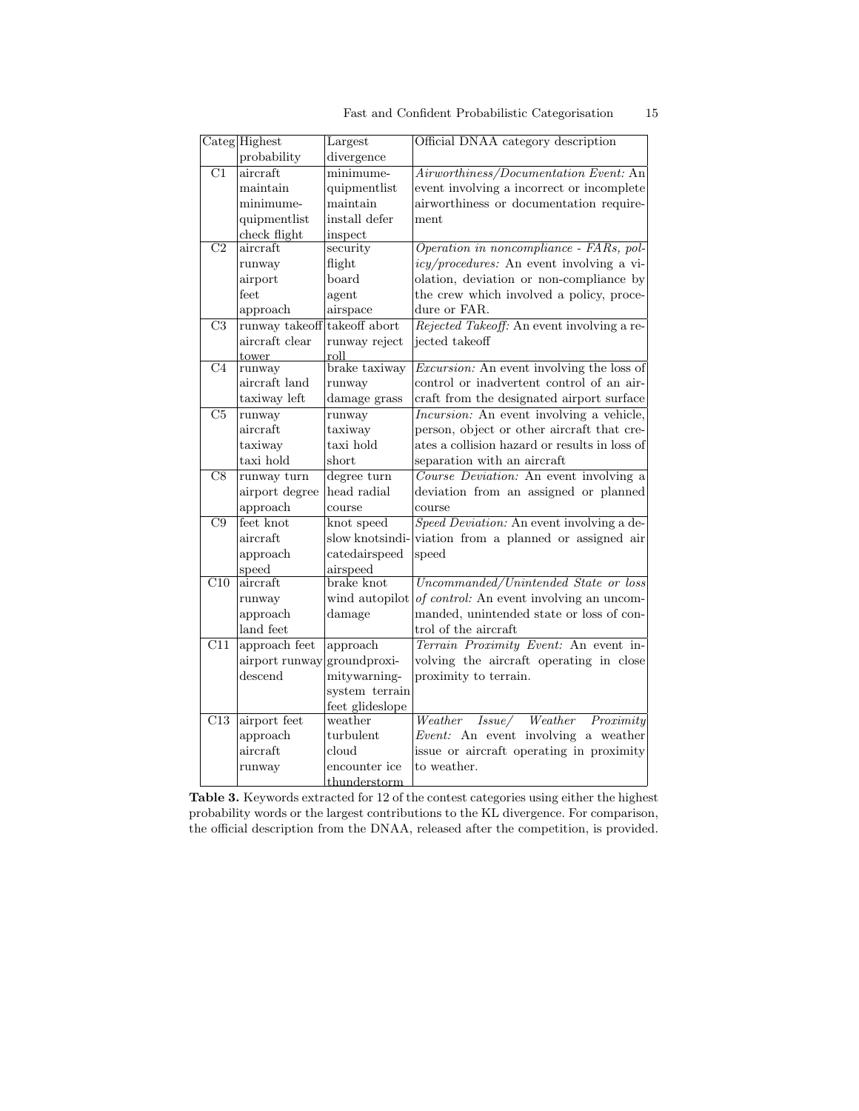|  |  |  | Fast and Confident Probabilistic Categorisation | 15 |
|--|--|--|-------------------------------------------------|----|
|--|--|--|-------------------------------------------------|----|

|                         | Categ Highest  | Largest         | Official DNAA category description               |
|-------------------------|----------------|-----------------|--------------------------------------------------|
|                         | probability    | divergence      |                                                  |
| $\overline{C1}$         | aircraft       | minimume-       | Airworthiness/Documentation Event: An            |
|                         | maintain       | quipmentlist    | event involving a incorrect or incomplete        |
|                         | minimume-      | maintain        | airworthiness or documentation require-          |
|                         | quipmentlist   | install defer   | ment                                             |
|                         | check flight   | inspect         |                                                  |
| $\overline{C2}$         | aircraft       | security        | Operation in noncompliance - FARs, pol-          |
|                         | runway         | flight          | <i>icy/procedures:</i> An event involving a vi-  |
|                         | airport        | board           | olation, deviation or non-compliance by          |
|                         | feet           | agent           | the crew which involved a policy, proce-         |
|                         | approach       | airspace        | dure or FAR.                                     |
| $\overline{C3}$         | runway takeoff | takeoff abort   | Rejected Takeoff: An event involving a re-       |
|                         | aircraft clear | runway reject   | jected takeoff                                   |
|                         | tower          | roll            |                                                  |
| C <sub>4</sub>          | runway         | brake taxiway   | <i>Excursion:</i> An event involving the loss of |
|                         | aircraft land  | runway          | control or inadvertent control of an air-        |
|                         | taxiway left   | damage grass    | craft from the designated airport surface        |
| $\overline{\text{C5}}$  | runway         | runway          | <i>Incursion:</i> An event involving a vehicle,  |
|                         | aircraft       | taxiway         | person, object or other aircraft that cre-       |
|                         | taxiway        | taxi hold       | ates a collision hazard or results in loss of    |
|                         | taxi hold      | $_{\rm short}$  | separation with an aircraft                      |
| $\overline{\text{C8}}$  | runway turn    | degree turn     | Course Deviation: An event involving a           |
|                         | airport degree | head radial     | deviation from an assigned or planned            |
|                         | approach       | course          | course                                           |
| $\overline{C9}$         | feet knot      | knot speed      | Speed Deviation: An event involving a de-        |
|                         | aircraft       | slow knotsindi- | viation from a planned or assigned air           |
|                         | approach       | catedairspeed   | speed                                            |
|                         | speed          | airspeed        |                                                  |
| $\overline{\text{C}10}$ | aircraft       | brake knot      | Uncommanded/Unintended State or loss             |
|                         | runway         | wind autopilot  | of control: An event involving an uncom-         |
|                         | approach       | damage          | manded, unintended state or loss of con-         |
|                         | land feet      |                 | trol of the aircraft                             |
| $\overline{C11}$        | approach feet  | approach        | Terrain Proximity Event: An event in-            |
|                         | airport runway | groundproxi-    | volving the aircraft operating in close          |
|                         | descend        | mitywarning-    | proximity to terrain.                            |
|                         |                | system terrain  |                                                  |
|                         |                | feet glideslope |                                                  |
| $\overline{C13}$        | airport feet   | weather         | <i>Issue/ Weather Proximity</i><br>Weather       |
|                         | approach       | turbulent       | Event: An event involving a weather              |
|                         | aircraft       | cloud           | issue or aircraft operating in proximity         |
|                         | runway         | encounter ice   | to weather.                                      |
|                         |                | thunderstorm    |                                                  |

Table 3. Keywords extracted for 12 of the contest categories using either the highest probability words or the largest contributions to the KL divergence. For comparison, the official description from the DNAA, released after the competition, is provided.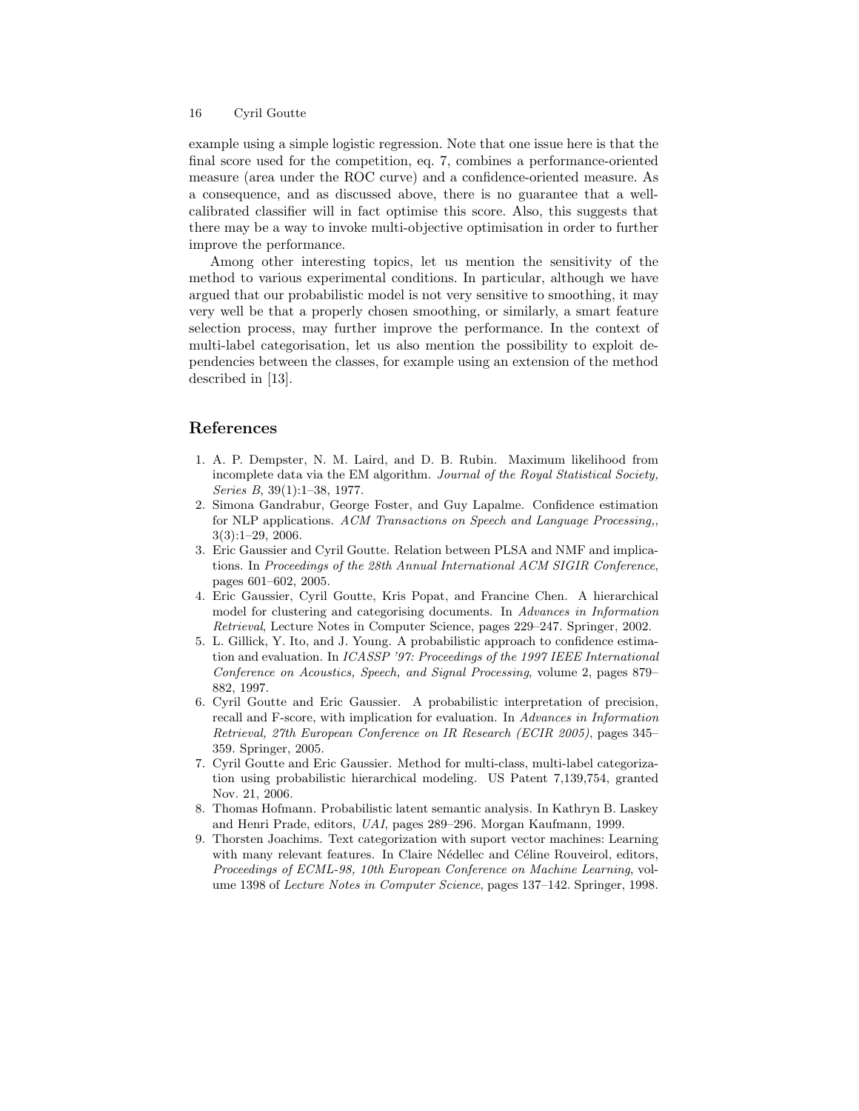example using a simple logistic regression. Note that one issue here is that the final score used for the competition, eq. 7, combines a performance-oriented measure (area under the ROC curve) and a confidence-oriented measure. As a consequence, and as discussed above, there is no guarantee that a wellcalibrated classifier will in fact optimise this score. Also, this suggests that there may be a way to invoke multi-objective optimisation in order to further improve the performance.

Among other interesting topics, let us mention the sensitivity of the method to various experimental conditions. In particular, although we have argued that our probabilistic model is not very sensitive to smoothing, it may very well be that a properly chosen smoothing, or similarly, a smart feature selection process, may further improve the performance. In the context of multi-label categorisation, let us also mention the possibility to exploit dependencies between the classes, for example using an extension of the method described in [13].

## References

- 1. A. P. Dempster, N. M. Laird, and D. B. Rubin. Maximum likelihood from incomplete data via the EM algorithm. Journal of the Royal Statistical Society, Series B, 39(1):1–38, 1977.
- 2. Simona Gandrabur, George Foster, and Guy Lapalme. Confidence estimation for NLP applications. ACM Transactions on Speech and Language Processing,, 3(3):1–29, 2006.
- 3. Eric Gaussier and Cyril Goutte. Relation between PLSA and NMF and implications. In Proceedings of the 28th Annual International ACM SIGIR Conference, pages 601–602, 2005.
- 4. Eric Gaussier, Cyril Goutte, Kris Popat, and Francine Chen. A hierarchical model for clustering and categorising documents. In Advances in Information Retrieval, Lecture Notes in Computer Science, pages 229–247. Springer, 2002.
- 5. L. Gillick, Y. Ito, and J. Young. A probabilistic approach to confidence estimation and evaluation. In ICASSP '97: Proceedings of the 1997 IEEE International Conference on Acoustics, Speech, and Signal Processing, volume 2, pages 879– 882, 1997.
- 6. Cyril Goutte and Eric Gaussier. A probabilistic interpretation of precision, recall and F-score, with implication for evaluation. In Advances in Information Retrieval, 27th European Conference on IR Research (ECIR 2005), pages 345– 359. Springer, 2005.
- 7. Cyril Goutte and Eric Gaussier. Method for multi-class, multi-label categorization using probabilistic hierarchical modeling. US Patent 7,139,754, granted Nov. 21, 2006.
- 8. Thomas Hofmann. Probabilistic latent semantic analysis. In Kathryn B. Laskey and Henri Prade, editors, UAI, pages 289–296. Morgan Kaufmann, 1999.
- 9. Thorsten Joachims. Text categorization with suport vector machines: Learning with many relevant features. In Claire Nédellec and Céline Rouveirol, editors, Proceedings of ECML-98, 10th European Conference on Machine Learning, volume 1398 of Lecture Notes in Computer Science, pages 137–142. Springer, 1998.